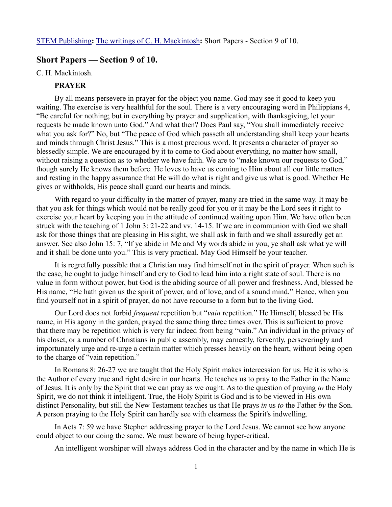## **Short Papers — Section 9 of 10.**

#### C. H. Mackintosh.

# **PRAYER**

By all means persevere in prayer for the object you name. God may see it good to keep you waiting. The exercise is very healthful for the soul. There is a very encouraging word in Philippians 4, "Be careful for nothing; but in everything by prayer and supplication, with thanksgiving, let your requests be made known unto God." And what then? Does Paul say, "You shall immediately receive what you ask for?" No, but "The peace of God which passeth all understanding shall keep your hearts and minds through Christ Jesus." This is a most precious word. It presents a character of prayer so blessedly simple. We are encouraged by it to come to God about everything, no matter how small, without raising a question as to whether we have faith. We are to "make known our requests to God," though surely He knows them before. He loves to have us coming to Him about all our little matters and resting in the happy assurance that He will do what is right and give us what is good. Whether He gives or withholds, His peace shall guard our hearts and minds.

With regard to your difficulty in the matter of prayer, many are tried in the same way. It may be that you ask for things which would not be really good for you or it may be the Lord sees it right to exercise your heart by keeping you in the attitude of continued waiting upon Him. We have often been struck with the teaching of 1 John 3: 21-22 and vv. 14-15. If we are in communion with God we shall ask for those things that are pleasing in His sight, we shall ask in faith and we shall assuredly get an answer. See also John 15: 7, "If ye abide in Me and My words abide in you, ye shall ask what ye will and it shall be done unto you." This is very practical. May God Himself be your teacher.

It is regretfully possible that a Christian may find himself not in the spirit of prayer. When such is the case, he ought to judge himself and cry to God to lead him into a right state of soul. There is no value in form without power, but God is the abiding source of all power and freshness. And, blessed be His name, "He hath given us the spirit of power, and of love, and of a sound mind." Hence, when you find yourself not in a spirit of prayer, do not have recourse to a form but to the living God.

Our Lord does not forbid *frequent* repetition but "*vain* repetition." He Himself, blessed be His name, in His agony in the garden, prayed the same thing three times over. This is sufficient to prove that there may be repetition which is very far indeed from being "vain." An individual in the privacy of his closet, or a number of Christians in public assembly, may earnestly, fervently, perseveringly and importunately urge and re-urge a certain matter which presses heavily on the heart, without being open to the charge of "vain repetition."

In Romans 8: 26-27 we are taught that the Holy Spirit makes intercession for us. He it is who is the Author of every true and right desire in our hearts. He teaches us to pray to the Father in the Name of Jesus. It is only by the Spirit that we can pray as we ought. As to the question of praying *to* the Holy Spirit, we do not think it intelligent. True, the Holy Spirit is God and is to be viewed in His own distinct Personality, but still the New Testament teaches us that He prays *in* us *to* the Father *by* the Son. A person praying to the Holy Spirit can hardly see with clearness the Spirit's indwelling.

In Acts 7: 59 we have Stephen addressing prayer to the Lord Jesus. We cannot see how anyone could object to our doing the same. We must beware of being hyper-critical.

An intelligent worshiper will always address God in the character and by the name in which He is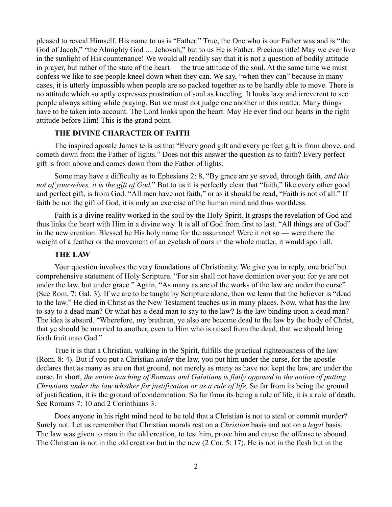pleased to reveal Himself. His name to us is "Father." True, the One who is our Father was and is "the God of Jacob," "the Almighty God .... Jehovah," but to us He is Father. Precious title! May we ever live in the sunlight of His countenance! We would all readily say that it is not a question of bodily attitude in prayer, but rather of the state of the heart — the true attitude of the soul. At the same time we must confess we like to see people kneel down when they can. We say, "when they can" because in many cases, it is utterly impossible when people are so packed together as to be hardly able to move. There is no attitude which so aptly expresses prostration of soul as kneeling. It looks lazy and irreverent to see people always sitting while praying. But we must not judge one another in this matter. Many things have to be taken into account. The Lord looks upon the heart. May He ever find our hearts in the right attitude before Him! This is the grand point.

## **THE DIVINE CHARACTER OF FAITH**

The inspired apostle James tells us that "Every good gift and every perfect gift is from above, and cometh down from the Father of lights." Does not this answer the question as to faith? Every perfect gift is from above and comes down from the Father of lights.

Some may have a difficulty as to Ephesians 2: 8, "By grace are ye saved, through faith, *and this not of yourselves, it is the gift of God.*" But to us it is perfectly clear that "faith," like every other good and perfect gift, is from God. "All men have not faith," or as it should be read, "Faith is not of all." If faith be not the gift of God, it is only an exercise of the human mind and thus worthless.

Faith is a divine reality worked in the soul by the Holy Spirit. It grasps the revelation of God and thus links the heart with Him in a divine way. It is all of God from first to last. "All things are of God" in the new creation. Blessed be His holy name for the assurance! Were it not so — were there the weight of a feather or the movement of an eyelash of ours in the whole matter, it would spoil all.

# **THE LAW**

Your question involves the very foundations of Christianity. We give you in reply, one brief but comprehensive statement of Holy Scripture. "For sin shall not have dominion over you: for ye are not under the law, but under grace." Again, "As many as are of the works of the law are under the curse" (See Rom. 7; Gal. 3). If we are to be taught by Scripture alone, then we learn that the believer is "dead to the law." He died in Christ as the New Testament teaches us in many places. Now, what has the law to say to a dead man? Or what has a dead man to say to the law? Is the law binding upon a dead man? The idea is absurd. "Wherefore, my brethren, ye also are become dead to the law by the body of Christ, that ye should be married to another, even to Him who is raised from the dead, that we should bring forth fruit unto God."

True it is that a Christian, walking in the Spirit, fulfills the practical righteousness of the law (Rom. 8: 4). But if you put a Christian *under* the law, you put him under the curse, for the apostle declares that as many as are on that ground, not merely as many as have not kept the law, are under the curse. In short, *the entire teaching of Romans and Galatians is flatly opposed to the notion of putting Christians under the law whether for justification or as a rule of life.* So far from its being the ground of justification, it is the ground of condemnation. So far from its being a rule of life, it is a rule of death. See Romans 7: 10 and 2 Corinthians 3.

Does anyone in his right mind need to be told that a Christian is not to steal or commit murder? Surely not. Let us remember that Christian morals rest on a *Christian* basis and not on a *legal* basis. The law was given to man in the old creation, to test him, prove him and cause the offense to abound. The Christian is not in the old creation but in the new (2 Cor. 5: 17). He is not in the flesh but in the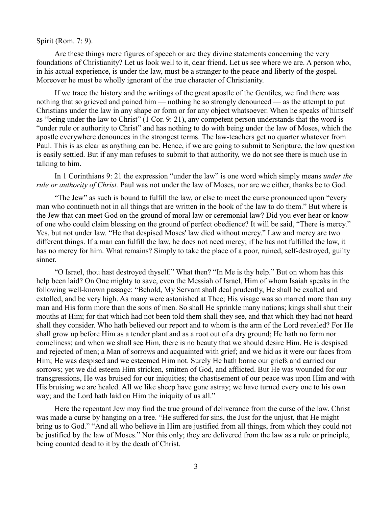## Spirit (Rom. 7: 9).

Are these things mere figures of speech or are they divine statements concerning the very foundations of Christianity? Let us look well to it, dear friend. Let us see where we are. A person who, in his actual experience, is under the law, must be a stranger to the peace and liberty of the gospel. Moreover he must be wholly ignorant of the true character of Christianity.

If we trace the history and the writings of the great apostle of the Gentiles, we find there was nothing that so grieved and pained him — nothing he so strongly denounced — as the attempt to put Christians under the law in any shape or form or for any object whatsoever. When he speaks of himself as "being under the law to Christ" (1 Cor. 9: 21), any competent person understands that the word is "under rule or authority to Christ" and has nothing to do with being under the law of Moses, which the apostle everywhere denounces in the strongest terms. The law-teachers get no quarter whatever from Paul. This is as clear as anything can be. Hence, if we are going to submit to Scripture, the law question is easily settled. But if any man refuses to submit to that authority, we do not see there is much use in talking to him.

In 1 Corinthians 9: 21 the expression "under the law" is one word which simply means *under the rule or authority of Christ.* Paul was not under the law of Moses, nor are we either, thanks be to God.

"The Jew" as such is bound to fulfill the law, or else to meet the curse pronounced upon "every man who continueth not in all things that are written in the book of the law to do them." But where is the Jew that can meet God on the ground of moral law or ceremonial law? Did you ever hear or know of one who could claim blessing on the ground of perfect obedience? It will be said, "There is mercy." Yes, but not under law. "He that despised Moses' law died without mercy." Law and mercy are two different things. If a man can fulfill the law, he does not need mercy; if he has not fulfilled the law, it has no mercy for him. What remains? Simply to take the place of a poor, ruined, self-destroyed, guilty sinner.

"O Israel, thou hast destroyed thyself." What then? "In Me is thy help." But on whom has this help been laid? On One mighty to save, even the Messiah of Israel, Him of whom Isaiah speaks in the following well-known passage: "Behold, My Servant shall deal prudently, He shall be exalted and extolled, and be very high. As many were astonished at Thee; His visage was so marred more than any man and His form more than the sons of men. So shall He sprinkle many nations; kings shall shut their mouths at Him; for that which had not been told them shall they see, and that which they had not heard shall they consider. Who hath believed our report and to whom is the arm of the Lord revealed? For He shall grow up before Him as a tender plant and as a root out of a dry ground; He hath no form nor comeliness; and when we shall see Him, there is no beauty that we should desire Him. He is despised and rejected of men; a Man of sorrows and acquainted with grief; and we hid as it were our faces from Him; He was despised and we esteemed Him not. Surely He hath borne our griefs and carried our sorrows; yet we did esteem Him stricken, smitten of God, and afflicted. But He was wounded for our transgressions, He was bruised for our iniquities; the chastisement of our peace was upon Him and with His bruising we are healed. All we like sheep have gone astray; we have turned every one to his own way; and the Lord hath laid on Him the iniquity of us all."

Here the repentant Jew may find the true ground of deliverance from the curse of the law. Christ was made a curse by hanging on a tree. "He suffered for sins, the Just for the unjust, that He might bring us to God." "And all who believe in Him are justified from all things, from which they could not be justified by the law of Moses." Nor this only; they are delivered from the law as a rule or principle, being counted dead to it by the death of Christ.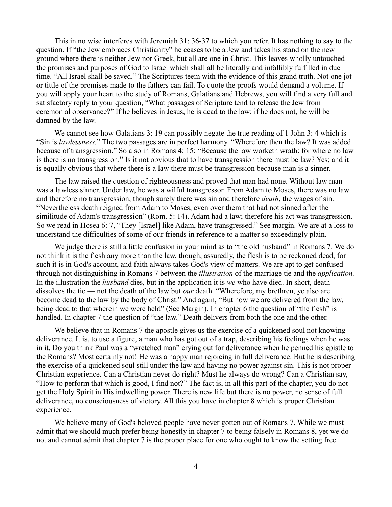This in no wise interferes with Jeremiah 31: 36-37 to which you refer. It has nothing to say to the question. If "the Jew embraces Christianity" he ceases to be a Jew and takes his stand on the new ground where there is neither Jew nor Greek, but all are one in Christ. This leaves wholly untouched the promises and purposes of God to Israel which shall all be literally and infallibly fulfilled in due time. "All Israel shall be saved." The Scriptures teem with the evidence of this grand truth. Not one jot or tittle of the promises made to the fathers can fail. To quote the proofs would demand a volume. If you will apply your heart to the study of Romans, Galatians and Hebrews, you will find a very full and satisfactory reply to your question, "What passages of Scripture tend to release the Jew from ceremonial observance?" If he believes in Jesus, he is dead to the law; if he does not, he will be damned by the law.

We cannot see how Galatians 3: 19 can possibly negate the true reading of 1 John 3: 4 which is "Sin is *lawlessness.*" The two passages are in perfect harmony. "Wherefore then the law? It was added because of transgression." So also in Romans 4: 15: "Because the law worketh wrath: for where no law is there is no transgression." Is it not obvious that to have transgression there must be law? Yes; and it is equally obvious that where there is a law there must be transgression because man is a sinner.

The law raised the question of righteousness and proved that man had none. Without law man was a lawless sinner. Under law, he was a wilful transgressor. From Adam to Moses, there was no law and therefore no transgression, though surely there was sin and therefore *death*, the wages of sin. "Nevertheless death reigned from Adam to Moses, even over them that had not sinned after the similitude of Adam's transgression" (Rom. 5: 14). Adam had a law; therefore his act was transgression. So we read in Hosea 6: 7, "They [Israel] like Adam, have transgressed." See margin. We are at a loss to understand the difficulties of some of our friends in reference to a matter so exceedingly plain.

We judge there is still a little confusion in your mind as to "the old husband" in Romans 7. We do not think it is the flesh any more than the law, though, assuredly, the flesh is to be reckoned dead, for such it is in God's account, and faith always takes God's view of matters. We are apt to get confused through not distinguishing in Romans 7 between the *illustration* of the marriage tie and the *application.* In the illustration the *husband* dies, but in the application it is *we* who have died. In short, death dissolves the tie — not the death of the law but *our* death. "Wherefore, my brethren, ye also are become dead to the law by the body of Christ." And again, "But now we are delivered from the law, being dead to that wherein we were held" (See Margin). In chapter 6 the question of "the flesh" is handled. In chapter 7 the question of "the law." Death delivers from both the one and the other.

We believe that in Romans 7 the apostle gives us the exercise of a quickened soul not knowing deliverance. It is, to use a figure, a man who has got out of a trap, describing his feelings when he was in it. Do you think Paul was a "wretched man" crying out for deliverance when he penned his epistle to the Romans? Most certainly not! He was a happy man rejoicing in full deliverance. But he is describing the exercise of a quickened soul still under the law and having no power against sin. This is not proper Christian experience. Can a Christian never do right? Must he always do wrong? Can a Christian say, "How to perform that which is good, I find not?" The fact is, in all this part of the chapter, you do not get the Holy Spirit in His indwelling power. There is new life but there is no power, no sense of full deliverance, no consciousness of victory. All this you have in chapter 8 which is proper Christian experience.

We believe many of God's beloved people have never gotten out of Romans 7. While we must admit that we should much prefer being honestly in chapter 7 to being falsely in Romans 8, yet we do not and cannot admit that chapter 7 is the proper place for one who ought to know the setting free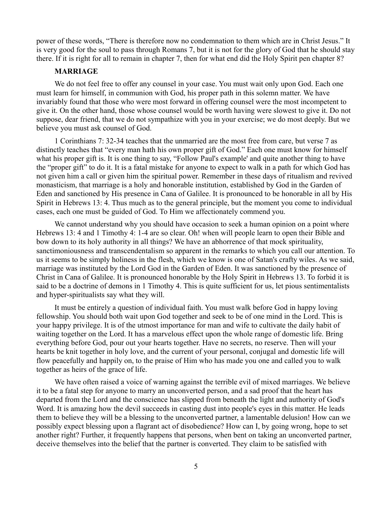power of these words, "There is therefore now no condemnation to them which are in Christ Jesus." It is very good for the soul to pass through Romans 7, but it is not for the glory of God that he should stay there. If it is right for all to remain in chapter 7, then for what end did the Holy Spirit pen chapter 8?

## **MARRIAGE**

We do not feel free to offer any counsel in your case. You must wait only upon God. Each one must learn for himself, in communion with God, his proper path in this solemn matter. We have invariably found that those who were most forward in offering counsel were the most incompetent to give it. On the other hand, those whose counsel would be worth having were slowest to give it. Do not suppose, dear friend, that we do not sympathize with you in your exercise; we do most deeply. But we believe you must ask counsel of God.

1 Corinthians 7: 32-34 teaches that the unmarried are the most free from care, but verse 7 as distinctly teaches that "every man hath his own proper gift of God." Each one must know for himself what his proper gift is. It is one thing to say, "Follow Paul's example' and quite another thing to have the "proper gift" to do it. It is a fatal mistake for anyone to expect to walk in a path for which God has not given him a call or given him the spiritual power. Remember in these days of ritualism and revived monasticism, that marriage is a holy and honorable institution, established by God in the Garden of Eden and sanctioned by His presence in Cana of Galilee. It is pronounced to be honorable in all by His Spirit in Hebrews 13: 4. Thus much as to the general principle, but the moment you come to individual cases, each one must be guided of God. To Him we affectionately commend you.

We cannot understand why you should have occasion to seek a human opinion on a point where Hebrews 13: 4 and 1 Timothy 4: 1-4 are so clear. Oh! when will people learn to open their Bible and bow down to its holy authority in all things? We have an abhorrence of that mock spirituality, sanctimoniousness and transcendentalism so apparent in the remarks to which you call our attention. To us it seems to be simply holiness in the flesh, which we know is one of Satan's crafty wiles. As we said, marriage was instituted by the Lord God in the Garden of Eden. It was sanctioned by the presence of Christ in Cana of Galilee. It is pronounced honorable by the Holy Spirit in Hebrews 13. To forbid it is said to be a doctrine of demons in 1 Timothy 4. This is quite sufficient for us, let pious sentimentalists and hyper-spiritualists say what they will.

It must be entirely a question of individual faith. You must walk before God in happy loving fellowship. You should both wait upon God together and seek to be of one mind in the Lord. This is your happy privilege. It is of the utmost importance for man and wife to cultivate the daily habit of waiting together on the Lord. It has a marvelous effect upon the whole range of domestic life. Bring everything before God, pour out your hearts together. Have no secrets, no reserve. Then will your hearts be knit together in holy love, and the current of your personal, conjugal and domestic life will flow peacefully and happily on, to the praise of Him who has made you one and called you to walk together as heirs of the grace of life.

We have often raised a voice of warning against the terrible evil of mixed marriages. We believe it to be a fatal step for anyone to marry an unconverted person, and a sad proof that the heart has departed from the Lord and the conscience has slipped from beneath the light and authority of God's Word. It is amazing how the devil succeeds in casting dust into people's eyes in this matter. He leads them to believe they will be a blessing to the unconverted partner, a lamentable delusion! How can we possibly expect blessing upon a flagrant act of disobedience? How can I, by going wrong, hope to set another right? Further, it frequently happens that persons, when bent on taking an unconverted partner, deceive themselves into the belief that the partner is converted. They claim to be satisfied with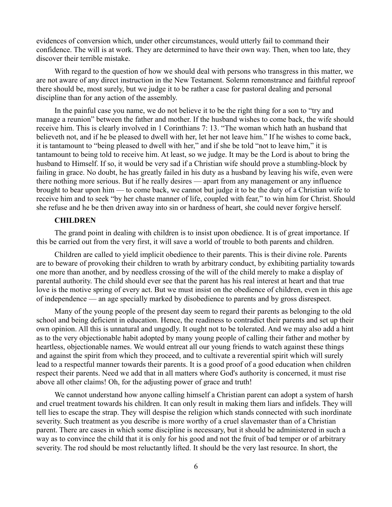evidences of conversion which, under other circumstances, would utterly fail to command their confidence. The will is at work. They are determined to have their own way. Then, when too late, they discover their terrible mistake.

With regard to the question of how we should deal with persons who transgress in this matter, we are not aware of any direct instruction in the New Testament. Solemn remonstrance and faithful reproof there should be, most surely, but we judge it to be rather a case for pastoral dealing and personal discipline than for any action of the assembly.

In the painful case you name, we do not believe it to be the right thing for a son to "try and manage a reunion" between the father and mother. If the husband wishes to come back, the wife should receive him. This is clearly involved in 1 Corinthians 7: 13. "The woman which hath an husband that believeth not, and if he be pleased to dwell with her, let her not leave him." If he wishes to come back, it is tantamount to "being pleased to dwell with her," and if she be told "not to leave him," it is tantamount to being told to receive him. At least, so we judge. It may be the Lord is about to bring the husband to Himself. If so, it would be very sad if a Christian wife should prove a stumbling-block by failing in grace. No doubt, he has greatly failed in his duty as a husband by leaving his wife, even were there nothing more serious. But if he really desires — apart from any management or any influence brought to bear upon him — to come back, we cannot but judge it to be the duty of a Christian wife to receive him and to seek "by her chaste manner of life, coupled with fear," to win him for Christ. Should she refuse and he be then driven away into sin or hardness of heart, she could never forgive herself.

## **CHILDREN**

The grand point in dealing with children is to insist upon obedience. It is of great importance. If this be carried out from the very first, it will save a world of trouble to both parents and children.

Children are called to yield implicit obedience to their parents. This is their divine role. Parents are to beware of provoking their children to wrath by arbitrary conduct, by exhibiting partiality towards one more than another, and by needless crossing of the will of the child merely to make a display of parental authority. The child should ever see that the parent has his real interest at heart and that true love is the motive spring of every act. But we must insist on the obedience of children, even in this age of independence — an age specially marked by disobedience to parents and by gross disrespect.

Many of the young people of the present day seem to regard their parents as belonging to the old school and being deficient in education. Hence, the readiness to contradict their parents and set up their own opinion. All this is unnatural and ungodly. It ought not to be tolerated. And we may also add a hint as to the very objectionable habit adopted by many young people of calling their father and mother by heartless, objectionable names. We would entreat all our young friends to watch against these things and against the spirit from which they proceed, and to cultivate a reverential spirit which will surely lead to a respectful manner towards their parents. It is a good proof of a good education when children respect their parents. Need we add that in all matters where God's authority is concerned, it must rise above all other claims! Oh, for the adjusting power of grace and truth!

We cannot understand how anyone calling himself a Christian parent can adopt a system of harsh and cruel treatment towards his children. It can only result in making them liars and infidels. They will tell lies to escape the strap. They will despise the religion which stands connected with such inordinate severity. Such treatment as you describe is more worthy of a cruel slavemaster than of a Christian parent. There are cases in which some discipline is necessary, but it should be administered in such a way as to convince the child that it is only for his good and not the fruit of bad temper or of arbitrary severity. The rod should be most reluctantly lifted. It should be the very last resource. In short, the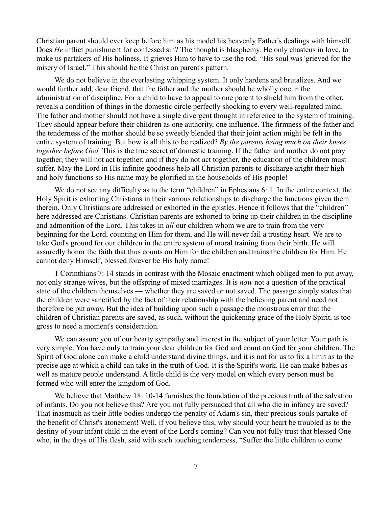Christian parent should ever keep before him as his model his heavenly Father's dealings with himself. Does *He* inflict punishment for confessed sin? The thought is blasphemy. He only chastens in love, to make us partakers of His holiness. It grieves Him to have to use the rod. "His soul was 'grieved for the misery of Israel." This should be the Christian parent's pattern.

We do not believe in the everlasting whipping system. It only hardens and brutalizes. And we would further add, dear friend, that the father and the mother should be wholly one in the administration of discipline. For a child to have to appeal to one parent to shield him from the other, reveals a condition of things in the domestic circle perfectly shocking to every well-regulated mind. The father and mother should not have a single divergent thought in reference to the system of training. They should appear before their children as one authority, one influence. The firmness of the father and the tenderness of the mother should be so sweetly blended that their joint action might be felt in the entire system of training. But how is all this to be realized? *By the parents being much on their knees together before God.* This is the true secret of domestic training. If the father and mother do not pray together, they will not act together; and if they do not act together, the education of the children must suffer. May the Lord in His infinite goodness help all Christian parents to discharge aright their high and holy functions so His name may be glorified in the households of His people!

We do not see any difficulty as to the term "children" in Ephesians 6: 1. In the entire context, the Holy Spirit is exhorting Christians in their various relationships to discharge the functions given them therein. Only Christians are addressed or exhorted in the epistles. Hence it follows that the "children" here addressed are Christians. Christian parents are exhorted to bring up their children in the discipline and admonition of the Lord. This takes in *all* our children whom we are to train from the very beginning for the Lord, counting on Him for them, and He will never fail a trusting heart. We are to take God's ground for our children in the entire system of moral training from their birth. He will assuredly honor the faith that thus counts on Him for the children and trains the children for Him. He cannot deny Himself, blessed forever be His holy name!

1 Corinthians 7: 14 stands in contrast with the Mosaic enactment which obliged men to put away, not only strange wives, but the offspring of mixed marriages. It is *now* not a question of the practical state of the children themselves — whether they are saved or not saved. The passage simply states that the children were sanctified by the fact of their relationship with the believing parent and need not therefore be put away. But the idea of building upon such a passage the monstrous error that the children of Christian parents are saved, as such, without the quickening grace of the Holy Spirit, is too gross to need a moment's consideration.

We can assure you of our hearty sympathy and interest in the subject of your letter. Your path is very simple. You have only to train your dear children for God and count on God for your children. The Spirit of God alone can make a child understand divine things, and it is not for us to fix a limit as to the precise age at which a child can take in the truth of God. It is the Spirit's work. He can make babes as well as mature people understand. A little child is the very model on which every person must be formed who will enter the kingdom of God.

We believe that Matthew 18: 10-14 furnishes the foundation of the precious truth of the salvation of infants. Do you not believe this? Are you not fully persuaded that all who die in infancy are saved? That inasmuch as their little bodies undergo the penalty of Adam's sin, their precious souls partake of the benefit of Christ's atonement! Well, if you believe this, why should your heart be troubled as to the destiny of your infant child in the event of the Lord's coming? Can you not fully trust that blessed One who, in the days of His flesh, said with such touching tenderness, "Suffer the little children to come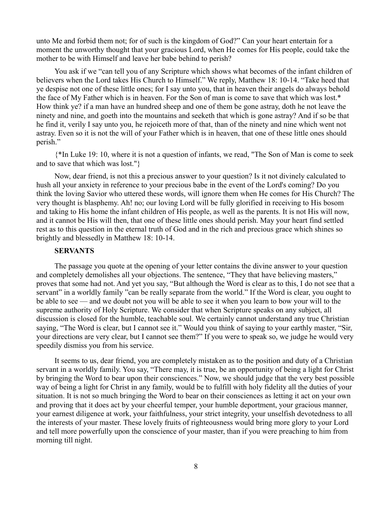unto Me and forbid them not; for of such is the kingdom of God?" Can your heart entertain for a moment the unworthy thought that your gracious Lord, when He comes for His people, could take the mother to be with Himself and leave her babe behind to perish?

You ask if we "can tell you of any Scripture which shows what becomes of the infant children of believers when the Lord takes His Church to Himself." We reply, Matthew 18: 10-14. "Take heed that ye despise not one of these little ones; for I say unto you, that in heaven their angels do always behold the face of My Father which is in heaven. For the Son of man is come to save that which was lost.\* How think ye? if a man have an hundred sheep and one of them be gone astray, doth he not leave the ninety and nine, and goeth into the mountains and seeketh that which is gone astray? And if so be that he find it, verily I say unto you, he rejoiceth more of that, than of the ninety and nine which went not astray. Even so it is not the will of your Father which is in heaven, that one of these little ones should perish."

{\*In Luke 19: 10, where it is not a question of infants, we read, "The Son of Man is come to seek and to save that which was lost."}

Now, dear friend, is not this a precious answer to your question? Is it not divinely calculated to hush all your anxiety in reference to your precious babe in the event of the Lord's coming? Do you think the loving Savior who uttered these words, will ignore them when He comes for His Church? The very thought is blasphemy. Ah! no; our loving Lord will be fully glorified in receiving to His bosom and taking to His home the infant children of His people, as well as the parents. It is not His will now, and it cannot be His will then, that one of these little ones should perish. May your heart find settled rest as to this question in the eternal truth of God and in the rich and precious grace which shines so brightly and blessedly in Matthew 18: 10-14.

# **SERVANTS**

The passage you quote at the opening of your letter contains the divine answer to your question and completely demolishes all your objections. The sentence, "They that have believing masters," proves that some had not. And yet you say, "But although the Word is clear as to this, I do not see that a servant" in a worldly family "can be really separate from the world." If the Word is clear, you ought to be able to see — and we doubt not you will be able to see it when you learn to bow your will to the supreme authority of Holy Scripture. We consider that when Scripture speaks on any subject, all discussion is closed for the humble, teachable soul. We certainly cannot understand any true Christian saying, "The Word is clear, but I cannot see it." Would you think of saying to your earthly master, "Sir, your directions are very clear, but I cannot see them?" If you were to speak so, we judge he would very speedily dismiss you from his service.

It seems to us, dear friend, you are completely mistaken as to the position and duty of a Christian servant in a worldly family. You say, "There may, it is true, be an opportunity of being a light for Christ by bringing the Word to bear upon their consciences." Now, we should judge that the very best possible way of being a light for Christ in any family, would be to fulfill with holy fidelity all the duties of your situation. It is not so much bringing the Word to bear on their consciences as letting it act on your own and proving that it does act by your cheerful temper, your humble deportment, your gracious manner, your earnest diligence at work, your faithfulness, your strict integrity, your unselfish devotedness to all the interests of your master. These lovely fruits of righteousness would bring more glory to your Lord and tell more powerfully upon the conscience of your master, than if you were preaching to him from morning till night.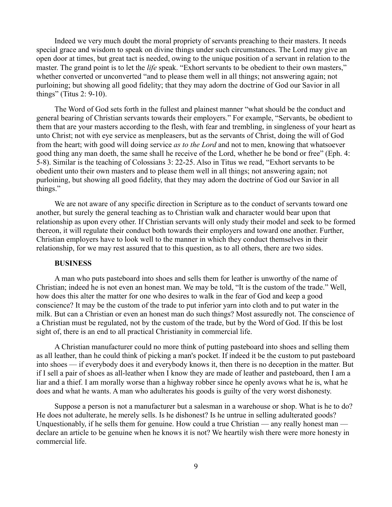Indeed we very much doubt the moral propriety of servants preaching to their masters. It needs special grace and wisdom to speak on divine things under such circumstances. The Lord may give an open door at times, but great tact is needed, owing to the unique position of a servant in relation to the master. The grand point is to let the *life* speak. "Exhort servants to be obedient to their own masters," whether converted or unconverted "and to please them well in all things; not answering again; not purloining; but showing all good fidelity; that they may adorn the doctrine of God our Savior in all things" (Titus 2: 9-10).

The Word of God sets forth in the fullest and plainest manner "what should be the conduct and general bearing of Christian servants towards their employers." For example, "Servants, be obedient to them that are your masters according to the flesh, with fear and trembling, in singleness of your heart as unto Christ; not with eye service as menpleasers, but as the servants of Christ, doing the will of God from the heart; with good will doing service *as to the Lord* and not to men, knowing that whatsoever good thing any man doeth, the same shall he receive of the Lord, whether he be bond or free" (Eph. 4: 5-8). Similar is the teaching of Colossians 3: 22-25. Also in Titus we read, "Exhort servants to be obedient unto their own masters and to please them well in all things; not answering again; not purloining, but showing all good fidelity, that they may adorn the doctrine of God our Savior in all things."

We are not aware of any specific direction in Scripture as to the conduct of servants toward one another, but surely the general teaching as to Christian walk and character would bear upon that relationship as upon every other. If Christian servants will only study their model and seek to be formed thereon, it will regulate their conduct both towards their employers and toward one another. Further, Christian employers have to look well to the manner in which they conduct themselves in their relationship, for we may rest assured that to this question, as to all others, there are two sides.

#### **BUSINESS**

A man who puts pasteboard into shoes and sells them for leather is unworthy of the name of Christian; indeed he is not even an honest man. We may be told, "It is the custom of the trade." Well, how does this alter the matter for one who desires to walk in the fear of God and keep a good conscience? It may be the custom of the trade to put inferior yarn into cloth and to put water in the milk. But can a Christian or even an honest man do such things? Most assuredly not. The conscience of a Christian must be regulated, not by the custom of the trade, but by the Word of God. If this be lost sight of, there is an end to all practical Christianity in commercial life.

A Christian manufacturer could no more think of putting pasteboard into shoes and selling them as all leather, than he could think of picking a man's pocket. If indeed it be the custom to put pasteboard into shoes — if everybody does it and everybody knows it, then there is no deception in the matter. But if I sell a pair of shoes as all-leather when I know they are made of leather and pasteboard, then I am a liar and a thief. I am morally worse than a highway robber since he openly avows what he is, what he does and what he wants. A man who adulterates his goods is guilty of the very worst dishonesty.

Suppose a person is not a manufacturer but a salesman in a warehouse or shop. What is he to do? He does not adulterate, he merely sells. Is he dishonest? Is he untrue in selling adulterated goods? Unquestionably, if he sells them for genuine. How could a true Christian — any really honest man declare an article to be genuine when he knows it is not? We heartily wish there were more honesty in commercial life.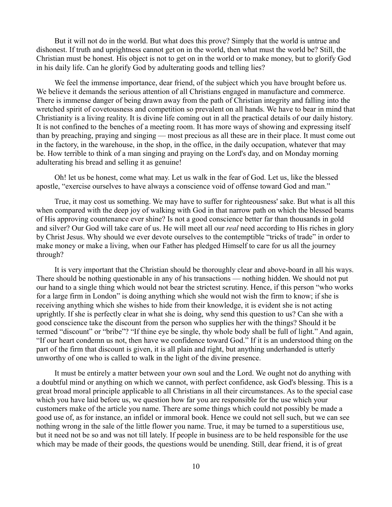But it will not do in the world. But what does this prove? Simply that the world is untrue and dishonest. If truth and uprightness cannot get on in the world, then what must the world be? Still, the Christian must be honest. His object is not to get on in the world or to make money, but to glorify God in his daily life. Can he glorify God by adulterating goods and telling lies?

We feel the immense importance, dear friend, of the subject which you have brought before us. We believe it demands the serious attention of all Christians engaged in manufacture and commerce. There is immense danger of being drawn away from the path of Christian integrity and falling into the wretched spirit of covetousness and competition so prevalent on all hands. We have to bear in mind that Christianity is a living reality. It is divine life coming out in all the practical details of our daily history. It is not confined to the benches of a meeting room. It has more ways of showing and expressing itself than by preaching, praying and singing — most precious as all these are in their place. It must come out in the factory, in the warehouse, in the shop, in the office, in the daily occupation, whatever that may be. How terrible to think of a man singing and praying on the Lord's day, and on Monday morning adulterating his bread and selling it as genuine!

Oh! let us be honest, come what may. Let us walk in the fear of God. Let us, like the blessed apostle, "exercise ourselves to have always a conscience void of offense toward God and man."

True, it may cost us something. We may have to suffer for righteousness' sake. But what is all this when compared with the deep joy of walking with God in that narrow path on which the blessed beams of His approving countenance ever shine? Is not a good conscience better far than thousands in gold and silver? Our God will take care of us. He will meet all our *real* need according to His riches in glory by Christ Jesus. Why should we ever devote ourselves to the contemptible "tricks of trade" in order to make money or make a living, when our Father has pledged Himself to care for us all the journey through?

It is very important that the Christian should be thoroughly clear and above-board in all his ways. There should be nothing questionable in any of his transactions — nothing hidden. We should not put our hand to a single thing which would not bear the strictest scrutiny. Hence, if this person "who works for a large firm in London" is doing anything which she would not wish the firm to know; if she is receiving anything which she wishes to hide from their knowledge, it is evident she is not acting uprightly. If she is perfectly clear in what she is doing, why send this question to us? Can she with a good conscience take the discount from the person who supplies her with the things? Should it be termed "discount" or "bribe"? "If thine eye be single, thy whole body shall be full of light." And again, "If our heart condemn us not, then have we confidence toward God." If it is an understood thing on the part of the firm that discount is given, it is all plain and right, but anything underhanded is utterly unworthy of one who is called to walk in the light of the divine presence.

It must be entirely a matter between your own soul and the Lord. We ought not do anything with a doubtful mind or anything on which we cannot, with perfect confidence, ask God's blessing. This is a great broad moral principle applicable to all Christians in all their circumstances. As to the special case which you have laid before us, we question how far you are responsible for the use which your customers make of the article you name. There are some things which could not possibly be made a good use of, as for instance, an infidel or immoral book. Hence we could not sell such, but we can see nothing wrong in the sale of the little flower you name. True, it may be turned to a superstitious use, but it need not be so and was not till lately. If people in business are to be held responsible for the use which may be made of their goods, the questions would be unending. Still, dear friend, it is of great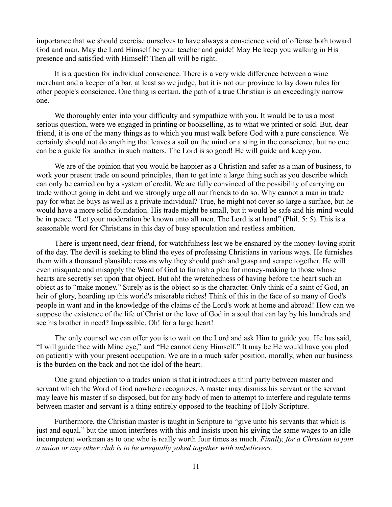importance that we should exercise ourselves to have always a conscience void of offense both toward God and man. May the Lord Himself be your teacher and guide! May He keep you walking in His presence and satisfied with Himself! Then all will be right.

It is a question for individual conscience. There is a very wide difference between a wine merchant and a keeper of a bar, at least so we judge, but it is not our province to lay down rules for other people's conscience. One thing is certain, the path of a true Christian is an exceedingly narrow one.

We thoroughly enter into your difficulty and sympathize with you. It would be to us a most serious question, were we engaged in printing or bookselling, as to what we printed or sold. But, dear friend, it is one of the many things as to which you must walk before God with a pure conscience. We certainly should not do anything that leaves a soil on the mind or a sting in the conscience, but no one can be a guide for another in such matters. The Lord is so good! He will guide and keep you.

We are of the opinion that you would be happier as a Christian and safer as a man of business, to work your present trade on sound principles, than to get into a large thing such as you describe which can only be carried on by a system of credit. We are fully convinced of the possibility of carrying on trade without going in debt and we strongly urge all our friends to do so. Why cannot a man in trade pay for what he buys as well as a private individual? True, he might not cover so large a surface, but he would have a more solid foundation. His trade might be small, but it would be safe and his mind would be in peace. "Let your moderation be known unto all men. The Lord is at hand" (Phil. 5: 5). This is a seasonable word for Christians in this day of busy speculation and restless ambition.

There is urgent need, dear friend, for watchfulness lest we be ensnared by the money-loving spirit of the day. The devil is seeking to blind the eyes of professing Christians in various ways. He furnishes them with a thousand plausible reasons why they should push and grasp and scrape together. He will even misquote and misapply the Word of God to furnish a plea for money-making to those whose hearts are secretly set upon that object. But oh! the wretchedness of having before the heart such an object as to "make money." Surely as is the object so is the character. Only think of a saint of God, an heir of glory, hoarding up this world's miserable riches! Think of this in the face of so many of God's people in want and in the knowledge of the claims of the Lord's work at home and abroad! How can we suppose the existence of the life of Christ or the love of God in a soul that can lay by his hundreds and see his brother in need? Impossible. Oh! for a large heart!

The only counsel we can offer you is to wait on the Lord and ask Him to guide you. He has said, "I will guide thee with Mine eye," and "He cannot deny Himself." It may be He would have you plod on patiently with your present occupation. We are in a much safer position, morally, when our business is the burden on the back and not the idol of the heart.

One grand objection to a trades union is that it introduces a third party between master and servant which the Word of God nowhere recognizes. A master may dismiss his servant or the servant may leave his master if so disposed, but for any body of men to attempt to interfere and regulate terms between master and servant is a thing entirely opposed to the teaching of Holy Scripture.

Furthermore, the Christian master is taught in Scripture to "give unto his servants that which is just and equal," but the union interferes with this and insists upon his giving the same wages to an idle incompetent workman as to one who is really worth four times as much. *Finally, for a Christian to join a union or any other club is to be unequally yoked together with unbelievers.*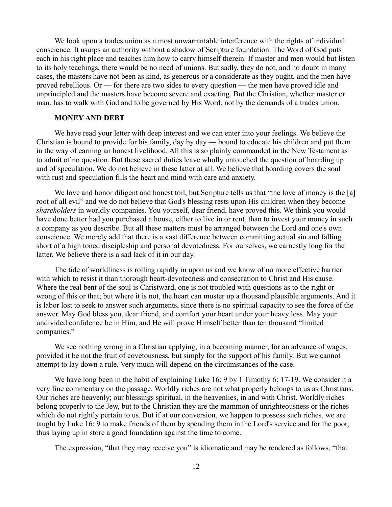We look upon a trades union as a most unwarrantable interference with the rights of individual conscience. It usurps an authority without a shadow of Scripture foundation. The Word of God puts each in his right place and teaches him how to carry himself therein. If master and men would but listen to its holy teachings, there would be no need of unions. But sadly, they do not, and no doubt in many cases, the masters have not been as kind, as generous or a considerate as they ought, and the men have proved rebellious. Or — for there are two sides to every question — the men have proved idle and unprincipled and the masters have become severe and exacting. But the Christian, whether master or man, has to walk with God and to be governed by His Word, not by the demands of a trades union.

# **MONEY AND DEBT**

We have read your letter with deep interest and we can enter into your feelings. We believe the Christian is bound to provide for his family, day by day — bound to educate his children and put them in the way of earning an honest livelihood. All this is so plainly commanded in the New Testament as to admit of no question. But these sacred duties leave wholly untouched the question of hoarding up and of speculation. We do not believe in these latter at all. We believe that hoarding covers the soul with rust and speculation fills the heart and mind with care and anxiety.

We love and honor diligent and honest toil, but Scripture tells us that "the love of money is the [a] root of all evil" and we do not believe that God's blessing rests upon His children when they become *shareholders* in worldly companies. You yourself, dear friend, have proved this. We think you would have done better had you purchased a house, either to live in or rent, than to invest your money in such a company as you describe. But all these matters must be arranged between the Lord and one's own conscience. We merely add that there is a vast difference between committing actual sin and falling short of a high toned discipleship and personal devotedness. For ourselves, we earnestly long for the latter. We believe there is a sad lack of it in our day.

The tide of worldliness is rolling rapidly in upon us and we know of no more effective barrier with which to resist it than thorough heart-devotedness and consecration to Christ and His cause. Where the real bent of the soul is Christward, one is not troubled with questions as to the right or wrong of this or that; but where it is not, the heart can muster up a thousand plausible arguments. And it is labor lost to seek to answer such arguments, since there is no spiritual capacity to see the force of the answer. May God bless you, dear friend, and comfort your heart under your heavy loss. May your undivided confidence be in Him, and He will prove Himself better than ten thousand "limited companies."

We see nothing wrong in a Christian applying, in a becoming manner, for an advance of wages, provided it be not the fruit of covetousness, but simply for the support of his family. But we cannot attempt to lay down a rule. Very much will depend on the circumstances of the case.

We have long been in the habit of explaining Luke 16: 9 by 1 Timothy 6: 17-19. We consider it a very fine commentary on the passage. Worldly riches are not what properly belongs to us as Christians. Our riches are heavenly; our blessings spiritual, in the heavenlies, in and with Christ. Worldly riches belong properly to the Jew, but to the Christian they are the mammon of unrighteousness or the riches which do not rightly pertain to us. But if at our conversion, we happen to possess such riches, we are taught by Luke 16: 9 to make friends of them by spending them in the Lord's service and for the poor, thus laying up in store a good foundation against the time to come.

The expression, "that they may receive you" is idiomatic and may be rendered as follows, "that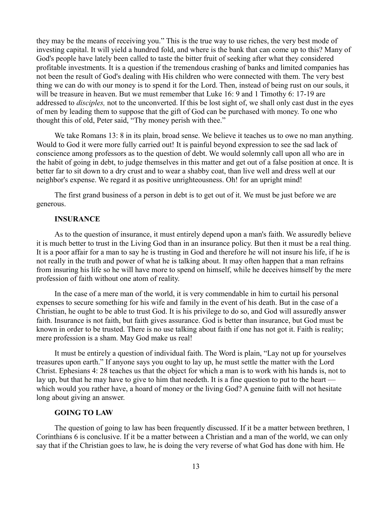they may be the means of receiving you." This is the true way to use riches, the very best mode of investing capital. It will yield a hundred fold, and where is the bank that can come up to this? Many of God's people have lately been called to taste the bitter fruit of seeking after what they considered profitable investments. It is a question if the tremendous crashing of banks and limited companies has not been the result of God's dealing with His children who were connected with them. The very best thing we can do with our money is to spend it for the Lord. Then, instead of being rust on our souls, it will be treasure in heaven. But we must remember that Luke 16: 9 and 1 Timothy 6: 17-19 are addressed to *disciples,* not to the unconverted. If this be lost sight of, we shall only cast dust in the eyes of men by leading them to suppose that the gift of God can be purchased with money. To one who thought this of old, Peter said, "Thy money perish with thee."

We take Romans 13: 8 in its plain, broad sense. We believe it teaches us to owe no man anything. Would to God it were more fully carried out! It is painful beyond expression to see the sad lack of conscience among professors as to the question of debt. We would solemnly call upon all who are in the habit of going in debt, to judge themselves in this matter and get out of a false position at once. It is better far to sit down to a dry crust and to wear a shabby coat, than live well and dress well at our neighbor's expense. We regard it as positive unrighteousness. Oh! for an upright mind!

The first grand business of a person in debt is to get out of it. We must be just before we are generous.

## **INSURANCE**

As to the question of insurance, it must entirely depend upon a man's faith. We assuredly believe it is much better to trust in the Living God than in an insurance policy. But then it must be a real thing. It is a poor affair for a man to say he is trusting in God and therefore he will not insure his life, if he is not really in the truth and power of what he is talking about. It may often happen that a man refrains from insuring his life so he will have more to spend on himself, while he deceives himself by the mere profession of faith without one atom of reality.

In the case of a mere man of the world, it is very commendable in him to curtail his personal expenses to secure something for his wife and family in the event of his death. But in the case of a Christian, he ought to be able to trust God. It is his privilege to do so, and God will assuredly answer faith. Insurance is not faith, but faith gives assurance. God is better than insurance, but God must be known in order to be trusted. There is no use talking about faith if one has not got it. Faith is reality; mere profession is a sham. May God make us real!

It must be entirely a question of individual faith. The Word is plain, "Lay not up for yourselves treasures upon earth." If anyone says you ought to lay up, he must settle the matter with the Lord Christ. Ephesians 4: 28 teaches us that the object for which a man is to work with his hands is, not to lay up, but that he may have to give to him that needeth. It is a fine question to put to the heart which would you rather have, a hoard of money or the living God? A genuine faith will not hesitate long about giving an answer.

## **GOING TO LAW**

The question of going to law has been frequently discussed. If it be a matter between brethren, 1 Corinthians 6 is conclusive. If it be a matter between a Christian and a man of the world, we can only say that if the Christian goes to law, he is doing the very reverse of what God has done with him. He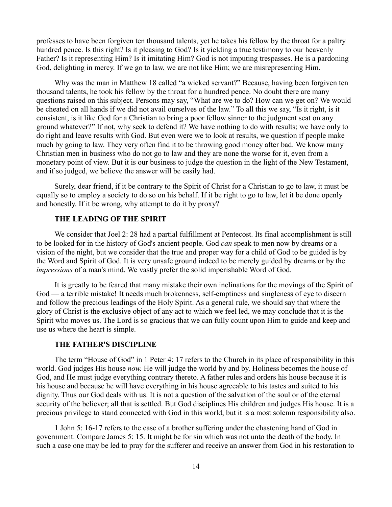professes to have been forgiven ten thousand talents, yet he takes his fellow by the throat for a paltry hundred pence. Is this right? Is it pleasing to God? Is it yielding a true testimony to our heavenly Father? Is it representing Him? Is it imitating Him? God is not imputing trespasses. He is a pardoning God, delighting in mercy. If we go to law, we are not like Him; we are misrepresenting Him.

Why was the man in Matthew 18 called "a wicked servant?" Because, having been forgiven ten thousand talents, he took his fellow by the throat for a hundred pence. No doubt there are many questions raised on this subject. Persons may say, "What are we to do? How can we get on? We would be cheated on all hands if we did not avail ourselves of the law." To all this we say, "Is it right, is it consistent, is it like God for a Christian to bring a poor fellow sinner to the judgment seat on any ground whatever?" If not, why seek to defend it? We have nothing to do with results; we have only to do right and leave results with God. But even were we to look at results, we question if people make much by going to law. They very often find it to be throwing good money after bad. We know many Christian men in business who do not go to law and they are none the worse for it, even from a monetary point of view. But it is our business to judge the question in the light of the New Testament, and if so judged, we believe the answer will be easily had.

Surely, dear friend, if it be contrary to the Spirit of Christ for a Christian to go to law, it must be equally so to employ a society to do so on his behalf. If it be right to go to law, let it be done openly and honestly. If it be wrong, why attempt to do it by proxy?

# **THE LEADING OF THE SPIRIT**

We consider that Joel 2: 28 had a partial fulfillment at Pentecost. Its final accomplishment is still to be looked for in the history of God's ancient people. God *can* speak to men now by dreams or a vision of the night, but we consider that the true and proper way for a child of God to be guided is by the Word and Spirit of God. It is very unsafe ground indeed to be merely guided by dreams or by the *impressions* of a man's mind. We vastly prefer the solid imperishable Word of God.

It is greatly to be feared that many mistake their own inclinations for the movings of the Spirit of God — a terrible mistake! It needs much brokenness, self-emptiness and singleness of eye to discern and follow the precious leadings of the Holy Spirit. As a general rule, we should say that where the glory of Christ is the exclusive object of any act to which we feel led, we may conclude that it is the Spirit who moves us. The Lord is so gracious that we can fully count upon Him to guide and keep and use us where the heart is simple.

#### **THE FATHER'S DISCIPLINE**

The term "House of God" in 1 Peter 4: 17 refers to the Church in its place of responsibility in this world. God judges His house *now.* He will judge the world by and by. Holiness becomes the house of God, and He must judge everything contrary thereto. A father rules and orders his house because it is his house and because he will have everything in his house agreeable to his tastes and suited to his dignity. Thus our God deals with us. It is not a question of the salvation of the soul or of the eternal security of the believer; all that is settled. But God disciplines His children and judges His house. It is a precious privilege to stand connected with God in this world, but it is a most solemn responsibility also.

1 John 5: 16-17 refers to the case of a brother suffering under the chastening hand of God in government. Compare James 5: 15. It might be for sin which was not unto the death of the body. In such a case one may be led to pray for the sufferer and receive an answer from God in his restoration to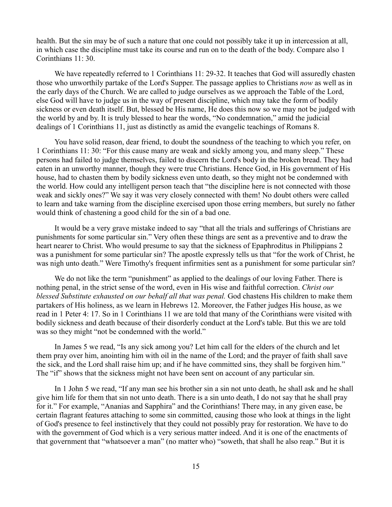health. But the sin may be of such a nature that one could not possibly take it up in intercession at all, in which case the discipline must take its course and run on to the death of the body. Compare also 1 Corinthians 11: 30.

We have repeatedly referred to 1 Corinthians 11: 29-32. It teaches that God will assuredly chasten those who unworthily partake of the Lord's Supper. The passage applies to Christians *now* as well as in the early days of the Church. We are called to judge ourselves as we approach the Table of the Lord, else God will have to judge us in the way of present discipline, which may take the form of bodily sickness or even death itself. But, blessed be His name, He does this now so we may not be judged with the world by and by. It is truly blessed to hear the words, "No condemnation," amid the judicial dealings of 1 Corinthians 11, just as distinctly as amid the evangelic teachings of Romans 8.

You have solid reason, dear friend, to doubt the soundness of the teaching to which you refer, on 1 Corinthians 11: 30: "For this cause many are weak and sickly among you, and many sleep." These persons had failed to judge themselves, failed to discern the Lord's body in the broken bread. They had eaten in an unworthy manner, though they were true Christians. Hence God, in His government of His house, had to chasten them by bodily sickness even unto death, so they might not be condemned with the world. How could any intelligent person teach that "the discipline here is not connected with those weak and sickly ones?" We say it was very closely connected with them! No doubt others were called to learn and take warning from the discipline exercised upon those erring members, but surely no father would think of chastening a good child for the sin of a bad one.

It would be a very grave mistake indeed to say "that all the trials and sufferings of Christians are punishments for some particular sin." Very often these things are sent as a preventive and to draw the heart nearer to Christ. Who would presume to say that the sickness of Epaphroditus in Philippians 2 was a punishment for some particular sin? The apostle expressly tells us that "for the work of Christ, he was nigh unto death." Were Timothy's frequent infirmities sent as a punishment for some particular sin?

We do not like the term "punishment" as applied to the dealings of our loving Father. There is nothing penal, in the strict sense of the word, even in His wise and faithful correction. *Christ our blessed Substitute exhausted on our behalf all that was penal.* God chastens His children to make them partakers of His holiness, as we learn in Hebrews 12. Moreover, the Father judges His house, as we read in 1 Peter 4: 17. So in 1 Corinthians 11 we are told that many of the Corinthians were visited with bodily sickness and death because of their disorderly conduct at the Lord's table. But this we are told was so they might "not be condemned with the world."

In James 5 we read, "Is any sick among you? Let him call for the elders of the church and let them pray over him, anointing him with oil in the name of the Lord; and the prayer of faith shall save the sick, and the Lord shall raise him up; and if he have committed sins, they shall be forgiven him." The "if" shows that the sickness might not have been sent on account of any particular sin.

In 1 John 5 we read, "If any man see his brother sin a sin not unto death, he shall ask and he shall give him life for them that sin not unto death. There is a sin unto death, I do not say that he shall pray for it." For example, "Ananias and Sapphira" and the Corinthians! There may, in any given ease, be certain flagrant features attaching to some sin committed, causing those who look at things in the light of God's presence to feel instinctively that they could not possibly pray for restoration. We have to do with the government of God which is a very serious matter indeed. And it is one of the enactments of that government that "whatsoever a man" (no matter who) "soweth, that shall he also reap." But it is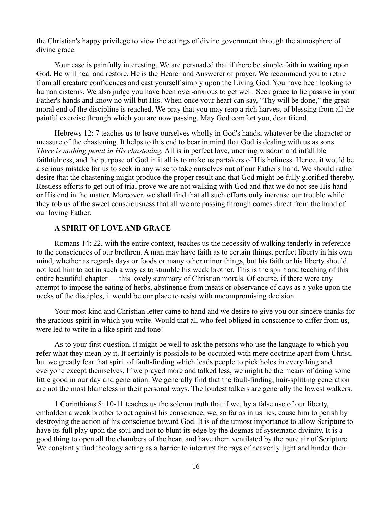the Christian's happy privilege to view the actings of divine government through the atmosphere of divine grace.

Your case is painfully interesting. We are persuaded that if there be simple faith in waiting upon God, He will heal and restore. He is the Hearer and Answerer of prayer. We recommend you to retire from all creature confidences and cast yourself simply upon the Living God. You have been looking to human cisterns. We also judge you have been over-anxious to get well. Seek grace to lie passive in your Father's hands and know no will but His. When once your heart can say, "Thy will be done," the great moral end of the discipline is reached. We pray that you may reap a rich harvest of blessing from all the painful exercise through which you are now passing. May God comfort you, dear friend.

Hebrews 12: 7 teaches us to leave ourselves wholly in God's hands, whatever be the character or measure of the chastening. It helps to this end to bear in mind that God is dealing with us as sons. *There is nothing penal in His chastening.* All is in perfect love, unerring wisdom and infallible faithfulness, and the purpose of God in it all is to make us partakers of His holiness. Hence, it would be a serious mistake for us to seek in any wise to take ourselves out of our Father's hand. We should rather desire that the chastening might produce the proper result and that God might be fully glorified thereby. Restless efforts to get out of trial prove we are not walking with God and that we do not see His hand or His end in the matter. Moreover, we shall find that all such efforts only increase our trouble while they rob us of the sweet consciousness that all we are passing through comes direct from the hand of our loving Father.

## **A SPIRIT OF LOVE AND GRACE**

Romans 14: 22, with the entire context, teaches us the necessity of walking tenderly in reference to the consciences of our brethren. A man may have faith as to certain things, perfect liberty in his own mind, whether as regards days or foods or many other minor things, but his faith or his liberty should not lead him to act in such a way as to stumble his weak brother. This is the spirit and teaching of this entire beautiful chapter — this lovely summary of Christian morals. Of course, if there were any attempt to impose the eating of herbs, abstinence from meats or observance of days as a yoke upon the necks of the disciples, it would be our place to resist with uncompromising decision.

Your most kind and Christian letter came to hand and we desire to give you our sincere thanks for the gracious spirit in which you write. Would that all who feel obliged in conscience to differ from us, were led to write in a like spirit and tone!

As to your first question, it might be well to ask the persons who use the language to which you refer what they mean by it. It certainly is possible to be occupied with mere doctrine apart from Christ, but we greatly fear that spirit of fault-finding which leads people to pick holes in everything and everyone except themselves. If we prayed more and talked less, we might be the means of doing some little good in our day and generation. We generally find that the fault-finding, hair-splitting generation are not the most blameless in their personal ways. The loudest talkers are generally the lowest walkers.

1 Corinthians 8: 10-11 teaches us the solemn truth that if we, by a false use of our liberty, embolden a weak brother to act against his conscience, we, so far as in us lies, cause him to perish by destroying the action of his conscience toward God. It is of the utmost importance to allow Scripture to have its full play upon the soul and not to blunt its edge by the dogmas of systematic divinity. It is a good thing to open all the chambers of the heart and have them ventilated by the pure air of Scripture. We constantly find theology acting as a barrier to interrupt the rays of heavenly light and hinder their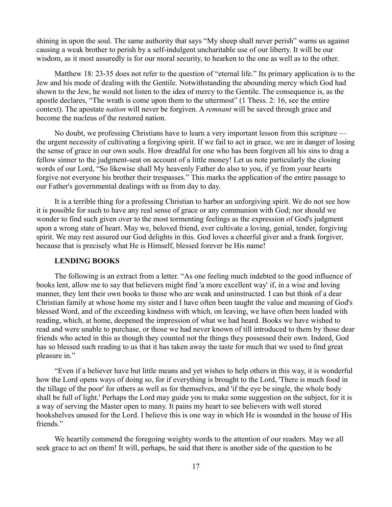shining in upon the soul. The same authority that says "My sheep shall never perish" warns us against causing a weak brother to perish by a self-indulgent uncharitable use of our liberty. It will be our wisdom, as it most assuredly is for our moral security, to hearken to the one as well as to the other.

Matthew 18: 23-35 does not refer to the question of "eternal life." Its primary application is to the Jew and his mode of dealing with the Gentile. Notwithstanding the abounding mercy which God had shown to the Jew, he would not listen to the idea of mercy to the Gentile. The consequence is, as the apostle declares, "The wrath is come upon them to the uttermost" (1 Thess. 2: 16, see the entire context). The apostate *nation* will never be forgiven. A *remnant* will be saved through grace and become the nucleus of the restored nation.

No doubt, we professing Christians have to learn a very important lesson from this scripture the urgent necessity of cultivating a forgiving spirit. If we fail to act in grace, we are in danger of losing the sense of grace in our own souls. How dreadful for one who has been forgiven all his sins to drag a fellow sinner to the judgment-seat on account of a little money! Let us note particularly the closing words of our Lord, "So likewise shall My heavenly Father do also to you, if ye from your hearts forgive not everyone his brother their trespasses." This marks the application of the entire passage to our Father's governmental dealings with us from day to day.

It is a terrible thing for a professing Christian to harbor an unforgiving spirit. We do not see how it is possible for such to have any real sense of grace or any communion with God; nor should we wonder to find such given over to the most tormenting feelings as the expression of God's judgment upon a wrong state of heart. May we, beloved friend, ever cultivate a loving, genial, tender, forgiving spirit. We may rest assured our God delights in this. God loves a cheerful giver and a frank forgiver, because that is precisely what He is Himself, blessed forever be His name!

## **LENDING BOOKS**

The following is an extract from a letter. "As one feeling much indebted to the good influence of books lent, allow me to say that believers might find 'a more excellent way' if, in a wise and loving manner, they lent their own books to those who are weak and uninstructed. I can but think of a dear Christian family at whose home my sister and I have often been taught the value and meaning of God's blessed Word, and of the exceeding kindness with which, on leaving, we have often been loaded with reading, which, at home, deepened the impression of what we had heard. Books we have wished to read and were unable to purchase, or those we had never known of till introduced to them by those dear friends who acted in this as though they counted not the things they possessed their own. Indeed, God has so blessed such reading to us that it has taken away the taste for much that we used to find great pleasure in."

"Even if a believer have but little means and yet wishes to help others in this way, it is wonderful how the Lord opens ways of doing so, for if everything is brought to the Lord, 'There is much food in the tillage of the poor' for others as well as for themselves, and 'if the eye be single, the whole body shall be full of light.' Perhaps the Lord may guide you to make some suggestion on the subject, for it is a way of serving the Master open to many. It pains my heart to see believers with well stored bookshelves unused for the Lord. I believe this is one way in which He is wounded in the house of His friends."

We heartily commend the foregoing weighty words to the attention of our readers. May we all seek grace to act on them! It will, perhaps, be said that there is another side of the question to be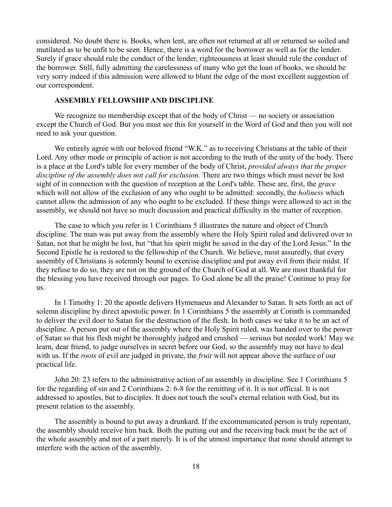considered. No doubt there is. Books, when lent, are often not returned at all or returned so soiled and mutilated as to be unfit to be seen. Hence, there is a word for the borrower as well as for the lender. Surely if grace should rule the conduct of the lender, righteousness at least should rule the conduct of the borrower. Still, fully admitting the carelessness of many who get the loan of books, we should be very sorry indeed if this admission were allowed to blunt the edge of the most excellent suggestion of our correspondent.

### **ASSEMBLY FELLOWSHIP AND DISCIPLINE**

We recognize no membership except that of the body of Christ — no society or association except the Church of God. But you must see this for yourself in the Word of God and then you will not need to ask your question.

We entirely agree with our beloved friend "W.K." as to receiving Christians at the table of their Lord. Any other mode or principle of action is not according to the truth of the unity of the body. There is a place at the Lord's table for every member of the body of Christ, *provided always that the proper discipline of the assembly does not call for exclusion.* There are two things which must never be lost sight of in connection with the question of reception at the Lord's table. These are, first, the *grace* which will not allow of the exclusion of any who ought to be admitted: secondly, the *holiness* which cannot allow the admission of any who ought to be excluded. If these things were allowed to act in the assembly, we should not have so much discussion and practical difficulty in the matter of reception.

The case to which you refer in 1 Corinthians 5 illustrates the nature and object of Church discipline. The man was put away from the assembly where the Holy Spirit ruled and delivered over to Satan, not that he might be lost, but "that his spirit might be saved in the day of the Lord Jesus." In the Second Epistle he is restored to the fellowship of the Church. We believe, most assuredly, that every assembly of Christians is solemnly bound to exercise discipline and put away evil from their midst. If they refuse to do so, they are not on the ground of the Church of God at all. We are most thankful for the blessing you have received through our pages. To God alone be all the praise! Continue to pray for us.

In 1 Timothy 1: 20 the apostle delivers Hymenaeus and Alexander to Satan. It sets forth an act of solemn discipline by direct apostolic power. In 1 Corinthians 5 the assembly at Corinth is commanded to deliver the evil doer to Satan for the destruction of the flesh. In both cases we take it to be an act of discipline. A person put out of the assembly where the Holy Spirit ruled, was handed over to the power of Satan so that his flesh might be thoroughly judged and crushed — serious but needed work! May we learn, dear friend, to judge ourselves in secret before our God, so the assembly may not have to deal with us. If the *roots* of evil are judged in private, the *fruit* will not appear above the surface of our practical life.

John 20: 23 refers to the administrative action of an assembly in discipline. See 1 Corinthians 5 for the regarding of sin and 2 Corinthians 2: 6-8 for the remitting of it. It is not official. It is not addressed to apostles, but to disciples. It does not touch the soul's eternal relation with God, but its present relation to the assembly.

The assembly is bound to put away a drunkard. If the excommunicated person is truly repentant, the assembly should receive him back. Both the putting out and the receiving back must be the act of the whole assembly and not of a part merely. It is of the utmost importance that none should attempt to interfere with the action of the assembly.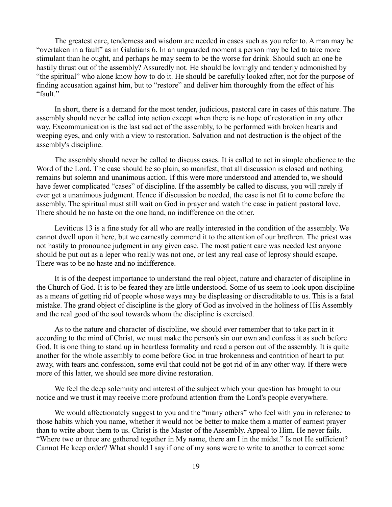The greatest care, tenderness and wisdom are needed in cases such as you refer to. A man may be "overtaken in a fault" as in Galatians 6. In an unguarded moment a person may be led to take more stimulant than he ought, and perhaps he may seem to be the worse for drink. Should such an one be hastily thrust out of the assembly? Assuredly not. He should be lovingly and tenderly admonished by "the spiritual" who alone know how to do it. He should be carefully looked after, not for the purpose of finding accusation against him, but to "restore" and deliver him thoroughly from the effect of his "fault."

In short, there is a demand for the most tender, judicious, pastoral care in cases of this nature. The assembly should never be called into action except when there is no hope of restoration in any other way. Excommunication is the last sad act of the assembly, to be performed with broken hearts and weeping eyes, and only with a view to restoration. Salvation and not destruction is the object of the assembly's discipline.

The assembly should never be called to discuss cases. It is called to act in simple obedience to the Word of the Lord. The case should be so plain, so manifest, that all discussion is closed and nothing remains but solemn and unanimous action. If this were more understood and attended to, we should have fewer complicated "cases" of discipline. If the assembly be called to discuss, you will rarely if ever get a unanimous judgment. Hence if discussion be needed, the case is not fit to come before the assembly. The spiritual must still wait on God in prayer and watch the case in patient pastoral love. There should be no haste on the one hand, no indifference on the other.

Leviticus 13 is a fine study for all who are really interested in the condition of the assembly. We cannot dwell upon it here, but we earnestly commend it to the attention of our brethren. The priest was not hastily to pronounce judgment in any given case. The most patient care was needed lest anyone should be put out as a leper who really was not one, or lest any real case of leprosy should escape. There was to be no haste and no indifference.

It is of the deepest importance to understand the real object, nature and character of discipline in the Church of God. It is to be feared they are little understood. Some of us seem to look upon discipline as a means of getting rid of people whose ways may be displeasing or discreditable to us. This is a fatal mistake. The grand object of discipline is the glory of God as involved in the holiness of His Assembly and the real good of the soul towards whom the discipline is exercised.

As to the nature and character of discipline, we should ever remember that to take part in it according to the mind of Christ, we must make the person's sin our own and confess it as such before God. It is one thing to stand up in heartless formality and read a person out of the assembly. It is quite another for the whole assembly to come before God in true brokenness and contrition of heart to put away, with tears and confession, some evil that could not be got rid of in any other way. If there were more of this latter, we should see more divine restoration.

We feel the deep solemnity and interest of the subject which your question has brought to our notice and we trust it may receive more profound attention from the Lord's people everywhere.

We would affectionately suggest to you and the "many others" who feel with you in reference to those habits which you name, whether it would not be better to make them a matter of earnest prayer than to write about them to us. Christ is the Master of the Assembly. Appeal to Him. He never fails. "Where two or three are gathered together in My name, there am I in the midst." Is not He sufficient? Cannot He keep order? What should I say if one of my sons were to write to another to correct some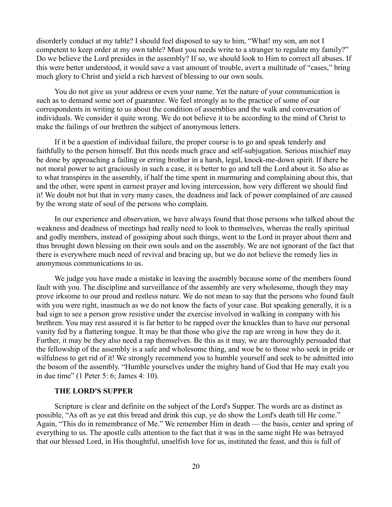disorderly conduct at my table? I should feel disposed to say to him, "What! my son, am not I competent to keep order at my own table? Must you needs write to a stranger to regulate my family?" Do we believe the Lord presides in the assembly? If so, we should look to Him to correct all abuses. If this were better understood, it would save a vast amount of trouble, avert a multitude of "cases," bring much glory to Christ and yield a rich harvest of blessing to our own souls.

You do not give us your address or even your name. Yet the nature of your communication is such as to demand some sort of guarantee. We feel strongly as to the practice of some of our correspondents in writing to us about the condition of assemblies and the walk and conversation of individuals. We consider it quite wrong. We do not believe it to be according to the mind of Christ to make the failings of our brethren the subject of anonymous letters.

If it be a question of individual failure, the proper course is to go and speak tenderly and faithfully to the person himself. But this needs much grace and self-subjugation. Serious mischief may be done by approaching a failing or erring brother in a harsh, legal, knock-me-down spirit. If there be not moral power to act graciously in such a case, it is better to go and tell the Lord about it. So also as to what transpires in the assembly, if half the time spent in murmuring and complaining about this, that and the other, were spent in earnest prayer and loving intercession, how very different we should find it! We doubt not but that in very many cases, the deadness and lack of power complained of are caused by the wrong state of soul of the persons who complain.

In our experience and observation, we have always found that those persons who talked about the weakness and deadness of meetings had really need to look to themselves, whereas the really spiritual and godly members, instead of gossiping about such things, went to the Lord in prayer about them and thus brought down blessing on their own souls and on the assembly. We are not ignorant of the fact that there is everywhere much need of revival and bracing up, but we do not believe the remedy lies in anonymous communications to us.

We judge you have made a mistake in leaving the assembly because some of the members found fault with you. The discipline and surveillance of the assembly are very wholesome, though they may prove irksome to our proud and restless nature. We do not mean to say that the persons who found fault with you were right, inasmuch as we do not know the facts of your case. But speaking generally, it is a bad sign to see a person grow resistive under the exercise involved in walking in company with his brethren. You may rest assured it is far better to be rapped over the knuckles than to have our personal vanity fed by a flattering tongue. It may be that those who give the rap are wrong in how they do it. Further, it may be they also need a rap themselves. Be this as it may, we are thoroughly persuaded that the fellowship of the assembly is a safe and wholesome thing, and woe be to those who seek in pride or wilfulness to get rid of it! We strongly recommend you to humble yourself and seek to be admitted into the bosom of the assembly. "Humble yourselves under the mighty hand of God that He may exalt you in due time" (1 Peter 5: 6; James 4: 10).

# **THE LORD'S SUPPER**

Scripture is clear and definite on the subject of the Lord's Supper. The words are as distinct as possible, "As oft as ye eat this bread and drink this cup, ye do show the Lord's death till He come." Again, "This do in remembrance of Me." We remember Him in death — the basis, center and spring of everything to us. The apostle calls attention to the fact that it was in the same night He was betrayed that our blessed Lord, in His thoughtful, unselfish love for us, instituted the feast, and this is full of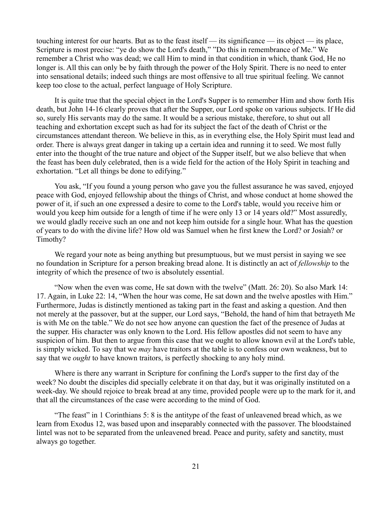touching interest for our hearts. But as to the feast itself — its significance — its object — its place, Scripture is most precise: "ye do show the Lord's death," "Do this in remembrance of Me." We remember a Christ who was dead; we call Him to mind in that condition in which, thank God, He no longer is. All this can only be by faith through the power of the Holy Spirit. There is no need to enter into sensational details; indeed such things are most offensive to all true spiritual feeling. We cannot keep too close to the actual, perfect language of Holy Scripture.

It is quite true that the special object in the Lord's Supper is to remember Him and show forth His death, but John 14-16 clearly proves that after the Supper, our Lord spoke on various subjects. If He did so, surely His servants may do the same. It would be a serious mistake, therefore, to shut out all teaching and exhortation except such as had for its subject the fact of the death of Christ or the circumstances attendant thereon. We believe in this, as in everything else, the Holy Spirit must lead and order. There is always great danger in taking up a certain idea and running it to seed. We most fully enter into the thought of the true nature and object of the Supper itself, but we also believe that when the feast has been duly celebrated, then is a wide field for the action of the Holy Spirit in teaching and exhortation. "Let all things be done to edifying."

You ask, "If you found a young person who gave you the fullest assurance he was saved, enjoyed peace with God, enjoyed fellowship about the things of Christ, and whose conduct at home showed the power of it, if such an one expressed a desire to come to the Lord's table, would you receive him or would you keep him outside for a length of time if he were only 13 or 14 years old?" Most assuredly, we would gladly receive such an one and not keep him outside for a single hour. What has the question of years to do with the divine life? How old was Samuel when he first knew the Lord? or Josiah? or Timothy?

We regard your note as being anything but presumptuous, but we must persist in saying we see no foundation in Scripture for a person breaking bread alone. It is distinctly an act of *fellowship* to the integrity of which the presence of two is absolutely essential.

"Now when the even was come, He sat down with the twelve" (Matt. 26: 20). So also Mark 14: 17. Again, in Luke 22: 14, "When the hour was come, He sat down and the twelve apostles with Him." Furthermore, Judas is distinctly mentioned as taking part in the feast and asking a question. And then not merely at the passover, but at the supper, our Lord says, "Behold, the hand of him that betrayeth Me is with Me on the table." We do not see how anyone can question the fact of the presence of Judas at the supper. His character was only known to the Lord. His fellow apostles did not seem to have any suspicion of him. But then to argue from this case that we ought to allow known evil at the Lord's table, is simply wicked. To say that we *may* have traitors at the table is to confess our own weakness, but to say that we *ought* to have known traitors, is perfectly shocking to any holy mind.

Where is there any warrant in Scripture for confining the Lord's supper to the first day of the week? No doubt the disciples did specially celebrate it on that day, but it was originally instituted on a week-day. We should rejoice to break bread at any time, provided people were up to the mark for it, and that all the circumstances of the case were according to the mind of God.

"The feast" in 1 Corinthians 5: 8 is the antitype of the feast of unleavened bread which, as we learn from Exodus 12, was based upon and inseparably connected with the passover. The bloodstained lintel was not to be separated from the unleavened bread. Peace and purity, safety and sanctity, must always go together.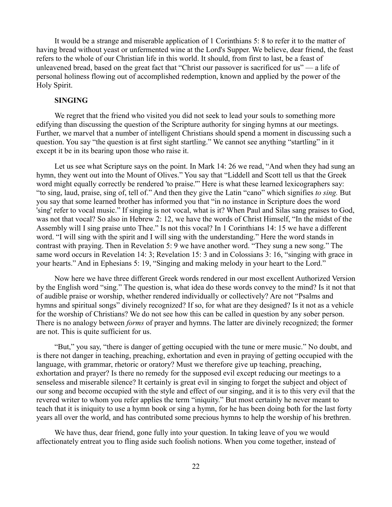It would be a strange and miserable application of 1 Corinthians 5: 8 to refer it to the matter of having bread without yeast or unfermented wine at the Lord's Supper. We believe, dear friend, the feast refers to the whole of our Christian life in this world. It should, from first to last, be a feast of unleavened bread, based on the great fact that "Christ our passover is sacrificed for us" — a life of personal holiness flowing out of accomplished redemption, known and applied by the power of the Holy Spirit.

### **SINGING**

We regret that the friend who visited you did not seek to lead your souls to something more edifying than discussing the question of the Scripture authority for singing hymns at our meetings. Further, we marvel that a number of intelligent Christians should spend a moment in discussing such a question. You say "the question is at first sight startling." We cannot see anything "startling" in it except it be in its bearing upon those who raise it.

Let us see what Scripture says on the point. In Mark 14: 26 we read, "And when they had sung an hymn, they went out into the Mount of Olives." You say that "Liddell and Scott tell us that the Greek word might equally correctly be rendered 'to praise.'" Here is what these learned lexicographers say: "to sing, laud, praise, sing of, tell of." And then they give the Latin "cano" which signifies *to sing.* But you say that some learned brother has informed you that "in no instance in Scripture does the word 'sing' refer to vocal music." If singing is not vocal, what is it? When Paul and Silas sang praises to God, was not that vocal? So also in Hebrew 2: 12, we have the words of Christ Himself, "In the midst of the Assembly will I sing praise unto Thee." Is not this vocal? In 1 Corinthians 14: 15 we have a different word. "I will sing with the spirit and I will sing with the understanding." Here the word stands in contrast with praying. Then in Revelation 5: 9 we have another word. "They sung a new song." The same word occurs in Revelation 14: 3; Revelation 15: 3 and in Colossians 3: 16, "singing with grace in your hearts." And in Ephesians 5: 19, "Singing and making melody in your heart to the Lord."

Now here we have three different Greek words rendered in our most excellent Authorized Version by the English word "sing." The question is, what idea do these words convey to the mind? Is it not that of audible praise or worship, whether rendered individually or collectively? Are not "Psalms and hymns and spiritual songs" divinely recognized? If so, for what are they designed? Is it not as a vehicle for the worship of Christians? We do not see how this can be called in question by any sober person. There is no analogy between *forms* of prayer and hymns. The latter are divinely recognized; the former are not. This is quite sufficient for us.

"But," you say, "there is danger of getting occupied with the tune or mere music." No doubt, and is there not danger in teaching, preaching, exhortation and even in praying of getting occupied with the language, with grammar, rhetoric or oratory? Must we therefore give up teaching, preaching, exhortation and prayer? Is there no remedy for the supposed evil except reducing our meetings to a senseless and miserable silence? It certainly is great evil in singing to forget the subject and object of our song and become occupied with the style and effect of our singing, and it is to this very evil that the revered writer to whom you refer applies the term "iniquity." But most certainly he never meant to teach that it is iniquity to use a hymn book or sing a hymn, for he has been doing both for the last forty years all over the world, and has contributed some precious hymns to help the worship of his brethren.

We have thus, dear friend, gone fully into your question. In taking leave of you we would affectionately entreat you to fling aside such foolish notions. When you come together, instead of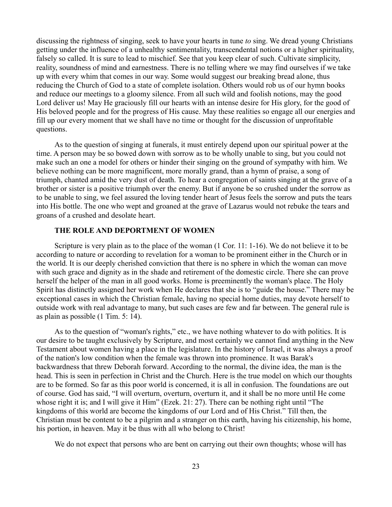discussing the rightness of singing, seek to have your hearts in tune *to* sing. We dread young Christians getting under the influence of a unhealthy sentimentality, transcendental notions or a higher spirituality, falsely so called. It is sure to lead to mischief. See that you keep clear of such. Cultivate simplicity, reality, soundness of mind and earnestness. There is no telling where we may find ourselves if we take up with every whim that comes in our way. Some would suggest our breaking bread alone, thus reducing the Church of God to a state of complete isolation. Others would rob us of our hymn books and reduce our meetings to a gloomy silence. From all such wild and foolish notions, may the good Lord deliver us! May He graciously fill our hearts with an intense desire for His glory, for the good of His beloved people and for the progress of His cause. May these realities so engage all our energies and fill up our every moment that we shall have no time or thought for the discussion of unprofitable questions.

As to the question of singing at funerals, it must entirely depend upon our spiritual power at the time. A person may be so bowed down with sorrow as to be wholly unable to sing, but you could not make such an one a model for others or hinder their singing on the ground of sympathy with him. We believe nothing can be more magnificent, more morally grand, than a hymn of praise, a song of triumph, chanted amid the very dust of death. To hear a congregation of saints singing at the grave of a brother or sister is a positive triumph over the enemy. But if anyone be so crushed under the sorrow as to be unable to sing, we feel assured the loving tender heart of Jesus feels the sorrow and puts the tears into His bottle. The one who wept and groaned at the grave of Lazarus would not rebuke the tears and groans of a crushed and desolate heart.

## **THE ROLE AND DEPORTMENT OF WOMEN**

Scripture is very plain as to the place of the woman (1 Cor. 11: 1-16). We do not believe it to be according to nature or according to revelation for a woman to be prominent either in the Church or in the world. It is our deeply cherished conviction that there is no sphere in which the woman can move with such grace and dignity as in the shade and retirement of the domestic circle. There she can prove herself the helper of the man in all good works. Home is preeminently the woman's place. The Holy Spirit has distinctly assigned her work when He declares that she is to "guide the house." There may be exceptional cases in which the Christian female, having no special home duties, may devote herself to outside work with real advantage to many, but such cases are few and far between. The general rule is as plain as possible (1 Tim. 5: 14).

As to the question of "woman's rights," etc., we have nothing whatever to do with politics. It is our desire to be taught exclusively by Scripture, and most certainly we cannot find anything in the New Testament about women having a place in the legislature. In the history of Israel, it was always a proof of the nation's low condition when the female was thrown into prominence. It was Barak's backwardness that threw Deborah forward. According to the normal, the divine idea, the man is the head. This is seen in perfection in Christ and the Church. Here is the true model on which our thoughts are to be formed. So far as this poor world is concerned, it is all in confusion. The foundations are out of course. God has said, "I will overturn, overturn, overturn it, and it shall be no more until He come whose right it is; and I will give it Him" (Ezek. 21: 27). There can be nothing right until "The kingdoms of this world are become the kingdoms of our Lord and of His Christ." Till then, the Christian must be content to be a pilgrim and a stranger on this earth, having his citizenship, his home, his portion, in heaven. May it be thus with all who belong to Christ!

We do not expect that persons who are bent on carrying out their own thoughts; whose will has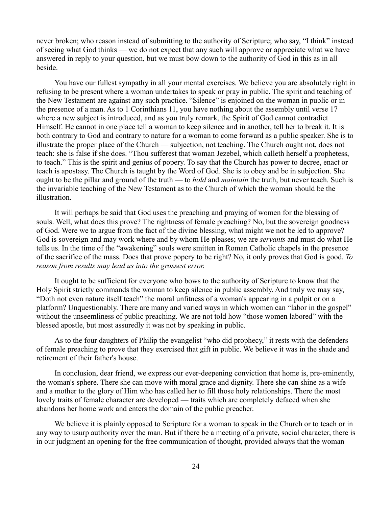never broken; who reason instead of submitting to the authority of Scripture; who say, "I think" instead of seeing what God thinks — we do not expect that any such will approve or appreciate what we have answered in reply to your question, but we must bow down to the authority of God in this as in all beside.

You have our fullest sympathy in all your mental exercises. We believe you are absolutely right in refusing to be present where a woman undertakes to speak or pray in public. The spirit and teaching of the New Testament are against any such practice. "Silence" is enjoined on the woman in public or in the presence of a man. As to 1 Corinthians 11, you have nothing about the assembly until verse 17 where a new subject is introduced, and as you truly remark, the Spirit of God cannot contradict Himself. He cannot in one place tell a woman to keep silence and in another, tell her to break it. It is both contrary to God and contrary to nature for a woman to come forward as a public speaker. She is to illustrate the proper place of the Church — subjection, not teaching. The Church ought not, does not teach: she is false if she does. "Thou sufferest that woman Jezebel, which calleth herself a prophetess, to teach." This is the spirit and genius of popery. To say that the Church has power to decree, enact or teach is apostasy. The Church is taught by the Word of God. She is to obey and be in subjection. She ought to be the pillar and ground of the truth — to *hold* and *maintain* the truth, but never teach. Such is the invariable teaching of the New Testament as to the Church of which the woman should be the illustration.

It will perhaps be said that God uses the preaching and praying of women for the blessing of souls. Well, what does this prove? The rightness of female preaching? No, but the sovereign goodness of God. Were we to argue from the fact of the divine blessing, what might we not be led to approve? God is sovereign and may work where and by whom He pleases; we are *servants* and must do what He tells us. In the time of the "awakening" souls were smitten in Roman Catholic chapels in the presence of the sacrifice of the mass. Does that prove popery to be right? No, it only proves that God is good. *To reason from results may lead us into the grossest error.*

It ought to be sufficient for everyone who bows to the authority of Scripture to know that the Holy Spirit strictly commands the woman to keep silence in public assembly. And truly we may say, "Doth not even nature itself teach" the moral unfitness of a woman's appearing in a pulpit or on a platform? Unquestionably. There are many and varied ways in which women can "labor in the gospel" without the unseemliness of public preaching. We are not told how "those women labored" with the blessed apostle, but most assuredly it was not by speaking in public.

As to the four daughters of Philip the evangelist "who did prophecy," it rests with the defenders of female preaching to prove that they exercised that gift in public. We believe it was in the shade and retirement of their father's house.

In conclusion, dear friend, we express our ever-deepening conviction that home is, pre-eminently, the woman's sphere. There she can move with moral grace and dignity. There she can shine as a wife and a mother to the glory of Him who has called her to fill those holy relationships. There the most lovely traits of female character are developed — traits which are completely defaced when she abandons her home work and enters the domain of the public preacher.

We believe it is plainly opposed to Scripture for a woman to speak in the Church or to teach or in any way to usurp authority over the man. But if there be a meeting of a private, social character, there is in our judgment an opening for the free communication of thought, provided always that the woman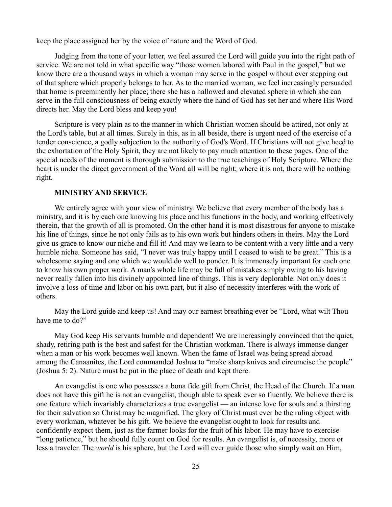keep the place assigned her by the voice of nature and the Word of God.

Judging from the tone of your letter, we feel assured the Lord will guide you into the right path of service. We are not told in what specific way "those women labored with Paul in the gospel," but we know there are a thousand ways in which a woman may serve in the gospel without ever stepping out of that sphere which properly belongs to her. As to the married woman, we feel increasingly persuaded that home is preeminently her place; there she has a hallowed and elevated sphere in which she can serve in the full consciousness of being exactly where the hand of God has set her and where His Word directs her. May the Lord bless and keep you!

Scripture is very plain as to the manner in which Christian women should be attired, not only at the Lord's table, but at all times. Surely in this, as in all beside, there is urgent need of the exercise of a tender conscience, a godly subjection to the authority of God's Word. If Christians will not give heed to the exhortation of the Holy Spirit, they are not likely to pay much attention to these pages. One of the special needs of the moment is thorough submission to the true teachings of Holy Scripture. Where the heart is under the direct government of the Word all will be right; where it is not, there will be nothing right.

## **MINISTRY AND SERVICE**

We entirely agree with your view of ministry. We believe that every member of the body has a ministry, and it is by each one knowing his place and his functions in the body, and working effectively therein, that the growth of all is promoted. On the other hand it is most disastrous for anyone to mistake his line of things, since he not only fails as to his own work but hinders others in theirs. May the Lord give us grace to know our niche and fill it! And may we learn to be content with a very little and a very humble niche. Someone has said, "I never was truly happy until I ceased to wish to be great." This is a wholesome saying and one which we would do well to ponder. It is immensely important for each one to know his own proper work. A man's whole life may be full of mistakes simply owing to his having never really fallen into his divinely appointed line of things. This is very deplorable. Not only does it involve a loss of time and labor on his own part, but it also of necessity interferes with the work of others.

May the Lord guide and keep us! And may our earnest breathing ever be "Lord, what wilt Thou have me to do?"

May God keep His servants humble and dependent! We are increasingly convinced that the quiet, shady, retiring path is the best and safest for the Christian workman. There is always immense danger when a man or his work becomes well known. When the fame of Israel was being spread abroad among the Canaanites, the Lord commanded Joshua to "make sharp knives and circumcise the people" (Joshua 5: 2). Nature must be put in the place of death and kept there.

An evangelist is one who possesses a bona fide gift from Christ, the Head of the Church. If a man does not have this gift he is not an evangelist, though able to speak ever so fluently. We believe there is one feature which invariably characterizes a true evangelist — an intense love for souls and a thirsting for their salvation so Christ may be magnified. The glory of Christ must ever be the ruling object with every workman, whatever be his gift. We believe the evangelist ought to look for results and confidently expect them, just as the farmer looks for the fruit of his labor. He may have to exercise "long patience," but he should fully count on God for results. An evangelist is, of necessity, more or less a traveler. The *world* is his sphere, but the Lord will ever guide those who simply wait on Him,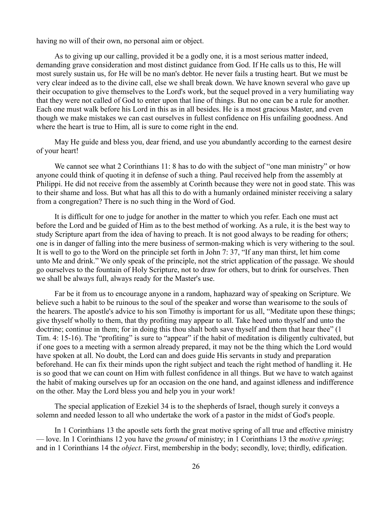having no will of their own, no personal aim or object.

As to giving up our calling, provided it be a godly one, it is a most serious matter indeed, demanding grave consideration and most distinct guidance from God. If He calls us to this, He will most surely sustain us, for He will be no man's debtor. He never fails a trusting heart. But we must be very clear indeed as to the divine call, else we shall break down. We have known several who gave up their occupation to give themselves to the Lord's work, but the sequel proved in a very humiliating way that they were not called of God to enter upon that line of things. But no one can be a rule for another. Each one must walk before his Lord in this as in all besides. He is a most gracious Master, and even though we make mistakes we can cast ourselves in fullest confidence on His unfailing goodness. And where the heart is true to Him, all is sure to come right in the end.

May He guide and bless you, dear friend, and use you abundantly according to the earnest desire of your heart!

We cannot see what 2 Corinthians 11: 8 has to do with the subject of "one man ministry" or how anyone could think of quoting it in defense of such a thing. Paul received help from the assembly at Philippi. He did not receive from the assembly at Corinth because they were not in good state. This was to their shame and loss. But what has all this to do with a humanly ordained minister receiving a salary from a congregation? There is no such thing in the Word of God.

It is difficult for one to judge for another in the matter to which you refer. Each one must act before the Lord and be guided of Him as to the best method of working. As a rule, it is the best way to study Scripture apart from the idea of having to preach. It is not good always to be reading for others; one is in danger of falling into the mere business of sermon-making which is very withering to the soul. It is well to go to the Word on the principle set forth in John 7: 37, "If any man thirst, let him come unto Me and drink." We only speak of the principle, not the strict application of the passage. We should go ourselves to the fountain of Holy Scripture, not to draw for others, but to drink for ourselves. Then we shall be always full, always ready for the Master's use.

Far be it from us to encourage anyone in a random, haphazard way of speaking on Scripture. We believe such a habit to be ruinous to the soul of the speaker and worse than wearisome to the souls of the hearers. The apostle's advice to his son Timothy is important for us all, "Meditate upon these things; give thyself wholly to them, that thy profiting may appear to all. Take heed unto thyself and unto the doctrine; continue in them; for in doing this thou shalt both save thyself and them that hear thee" (1) Tim. 4: 15-16). The "profiting" is sure to "appear" if the habit of meditation is diligently cultivated, but if one goes to a meeting with a sermon already prepared, it may not be the thing which the Lord would have spoken at all. No doubt, the Lord can and does guide His servants in study and preparation beforehand. He can fix their minds upon the right subject and teach the right method of handling it. He is so good that we can count on Him with fullest confidence in all things. But we have to watch against the habit of making ourselves up for an occasion on the one hand, and against idleness and indifference on the other. May the Lord bless you and help you in your work!

The special application of Ezekiel 34 is to the shepherds of Israel, though surely it conveys a solemn and needed lesson to all who undertake the work of a pastor in the midst of God's people.

In 1 Corinthians 13 the apostle sets forth the great motive spring of all true and effective ministry — love. In 1 Corinthians 12 you have the *ground* of ministry; in 1 Corinthians 13 the *motive spring*; and in 1 Corinthians 14 the *object*. First, membership in the body; secondly, love; thirdly, edification.